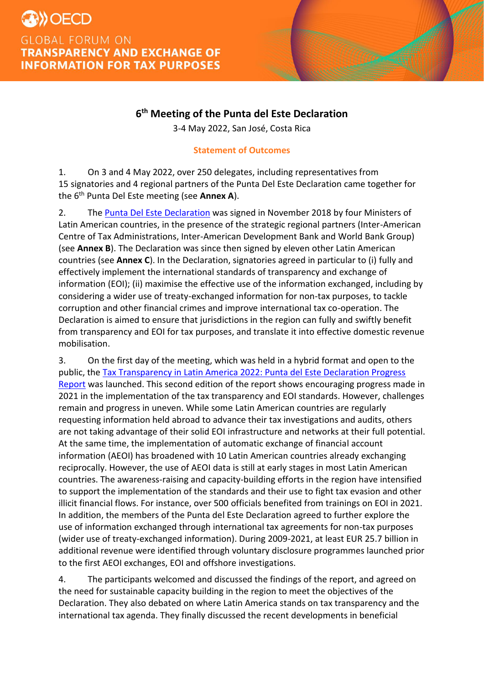

3-4 May 2022, San José, Costa Rica

# **Statement of Outcomes**

1. On 3 and 4 May 2022, over 250 delegates, including representatives from 15 signatories and 4 regional partners of the Punta Del Este Declaration came together for the 6th Punta Del Este meeting (see **Annex A**).

2. The [Punta Del Este Declaration](https://www.oecd.org/tax/transparency/documents/Latin-American-Ministerial-Declaration.pdf) was signed in November 2018 by four Ministers of Latin American countries, in the presence of the strategic regional partners (Inter-American Centre of Tax Administrations, Inter-American Development Bank and World Bank Group) (see **Annex B**). The Declaration was since then signed by eleven other Latin American countries (see **Annex C**). In the Declaration, signatories agreed in particular to (i) fully and effectively implement the international standards of transparency and exchange of information (EOI); (ii) maximise the effective use of the information exchanged, including by considering a wider use of treaty-exchanged information for non-tax purposes, to tackle corruption and other financial crimes and improve international tax co-operation. The Declaration is aimed to ensure that jurisdictions in the region can fully and swiftly benefit from transparency and EOI for tax purposes, and translate it into effective domestic revenue mobilisation.

3. On the first day of the meeting, which was held in a hybrid format and open to the public, the [Tax Transparency in Latin America 2022: Punta del Este Declaration Progress](https://www.oecd.org/tax/transparency/documents/tax-transparency-in-latin-america-2022.htm)  [Report](https://www.oecd.org/tax/transparency/documents/tax-transparency-in-latin-america-2022.htm) was launched. This second edition of the report shows encouraging progress made in 2021 in the implementation of the tax transparency and EOI standards. However, challenges remain and progress in uneven. While some Latin American countries are regularly requesting information held abroad to advance their tax investigations and audits, others are not taking advantage of their solid EOI infrastructure and networks at their full potential. At the same time, the implementation of automatic exchange of financial account information (AEOI) has broadened with 10 Latin American countries already exchanging reciprocally. However, the use of AEOI data is still at early stages in most Latin American countries. The awareness-raising and capacity-building efforts in the region have intensified to support the implementation of the standards and their use to fight tax evasion and other illicit financial flows. For instance, over 500 officials benefited from trainings on EOI in 2021. In addition, the members of the Punta del Este Declaration agreed to further explore the use of information exchanged through international tax agreements for non-tax purposes (wider use of treaty-exchanged information). During 2009-2021, at least EUR 25.7 billion in additional revenue were identified through voluntary disclosure programmes launched prior to the first AEOI exchanges, EOI and offshore investigations.

4. The participants welcomed and discussed the findings of the report, and agreed on the need for sustainable capacity building in the region to meet the objectives of the Declaration. They also debated on where Latin America stands on tax transparency and the international tax agenda. They finally discussed the recent developments in beneficial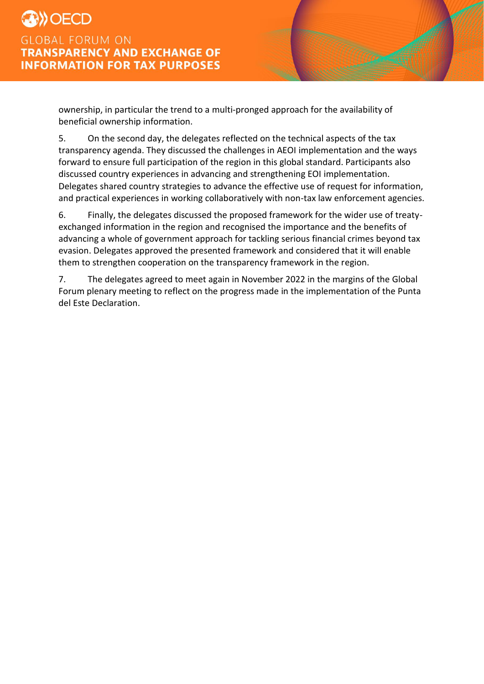ownership, in particular the trend to a multi-pronged approach for the availability of beneficial ownership information.

5. On the second day, the delegates reflected on the technical aspects of the tax transparency agenda. They discussed the challenges in AEOI implementation and the ways forward to ensure full participation of the region in this global standard. Participants also discussed country experiences in advancing and strengthening EOI implementation. Delegates shared country strategies to advance the effective use of request for information, and practical experiences in working collaboratively with non-tax law enforcement agencies.

6. Finally, the delegates discussed the proposed framework for the wider use of treatyexchanged information in the region and recognised the importance and the benefits of advancing a whole of government approach for tackling serious financial crimes beyond tax evasion. Delegates approved the presented framework and considered that it will enable them to strengthen cooperation on the transparency framework in the region.

7. The delegates agreed to meet again in November 2022 in the margins of the Global Forum plenary meeting to reflect on the progress made in the implementation of the Punta del Este Declaration.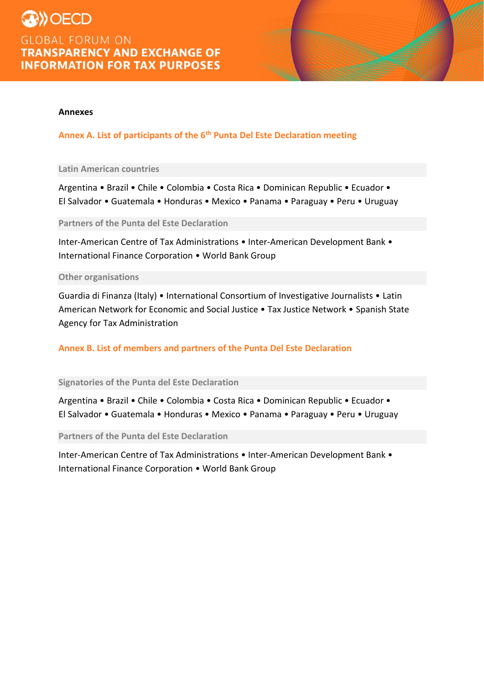

## **Annexes**

**Annex A. List of participants of the 6th Punta Del Este Declaration meeting**

### **Latin American countries**

Argentina • Brazil • Chile • Colombia • Costa Rica • Dominican Republic • Ecuador • El Salvador • Guatemala • Honduras • Mexico • Panama • Paraguay • Peru • Uruguay

**Partners of the Punta del Este Declaration**

Inter-American Centre of Tax Administrations • Inter-American Development Bank • International Finance Corporation • World Bank Group

#### **Other organisations**

Guardia di Finanza (Italy) • International Consortium of Investigative Journalists • Latin American Network for Economic and Social Justice • Tax Justice Network • Spanish State Agency for Tax Administration

## **Annex B. List of members and partners of the Punta Del Este Declaration**

**Signatories of the Punta del Este Declaration**

Argentina • Brazil • Chile • Colombia • Costa Rica • Dominican Republic • Ecuador • El Salvador • Guatemala • Honduras • Mexico • Panama • Paraguay • Peru • Uruguay

**Partners of the Punta del Este Declaration**

Inter-American Centre of Tax Administrations • Inter-American Development Bank • International Finance Corporation • World Bank Group